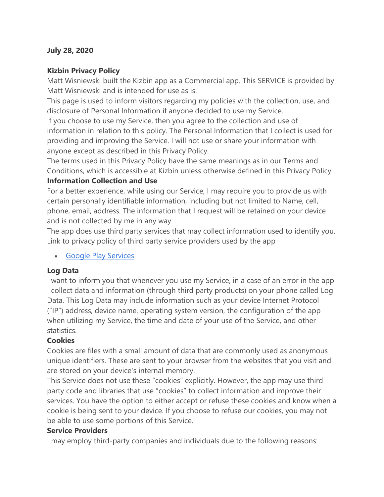#### **July 28, 2020**

### **Kizbin Privacy Policy**

Matt Wisniewski built the Kizbin app as a Commercial app. This SERVICE is provided by Matt Wisniewski and is intended for use as is.

This page is used to inform visitors regarding my policies with the collection, use, and disclosure of Personal Information if anyone decided to use my Service.

If you choose to use my Service, then you agree to the collection and use of information in relation to this policy. The Personal Information that I collect is used for providing and improving the Service. I will not use or share your information with anyone except as described in this Privacy Policy.

The terms used in this Privacy Policy have the same meanings as in our Terms and Conditions, which is accessible at Kizbin unless otherwise defined in this Privacy Policy.

#### **Information Collection and Use**

For a better experience, while using our Service, I may require you to provide us with certain personally identifiable information, including but not limited to Name, cell, phone, email, address. The information that I request will be retained on your device and is not collected by me in any way.

The app does use third party services that may collect information used to identify you. Link to privacy policy of third party service providers used by the app

• [Google Play Services](https://www.google.com/policies/privacy/)

### **Log Data**

I want to inform you that whenever you use my Service, in a case of an error in the app I collect data and information (through third party products) on your phone called Log Data. This Log Data may include information such as your device Internet Protocol ("IP") address, device name, operating system version, the configuration of the app when utilizing my Service, the time and date of your use of the Service, and other statistics.

### **Cookies**

Cookies are files with a small amount of data that are commonly used as anonymous unique identifiers. These are sent to your browser from the websites that you visit and are stored on your device's internal memory.

This Service does not use these "cookies" explicitly. However, the app may use third party code and libraries that use "cookies" to collect information and improve their services. You have the option to either accept or refuse these cookies and know when a cookie is being sent to your device. If you choose to refuse our cookies, you may not be able to use some portions of this Service.

#### **Service Providers**

I may employ third-party companies and individuals due to the following reasons: